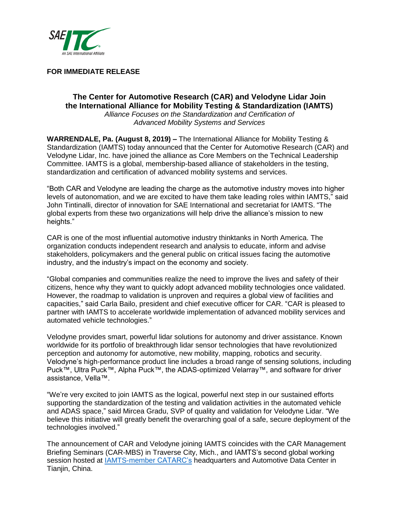

# **FOR IMMEDIATE RELEASE**

# **The Center for Automotive Research (CAR) and Velodyne Lidar Join the International Alliance for Mobility Testing & Standardization (IAMTS)**

*Alliance Focuses on the Standardization and Certification of Advanced Mobility Systems and Services*

**WARRENDALE, Pa. (August 8, 2019) –** The International Alliance for Mobility Testing & Standardization (IAMTS) today announced that the Center for Automotive Research (CAR) and Velodyne Lidar, Inc. have joined the alliance as Core Members on the Technical Leadership Committee. IAMTS is a global, membership-based alliance of stakeholders in the testing, standardization and certification of advanced mobility systems and services.

"Both CAR and Velodyne are leading the charge as the automotive industry moves into higher levels of autonomation, and we are excited to have them take leading roles within IAMTS," said John Tintinalli, director of innovation for SAE International and secretariat for IAMTS. "The global experts from these two organizations will help drive the alliance's mission to new heights."

CAR is one of the most influential automotive industry thinktanks in North America. The organization conducts independent research and analysis to educate, inform and advise stakeholders, policymakers and the general public on critical issues facing the automotive industry, and the industry's impact on the economy and society.

"Global companies and communities realize the need to improve the lives and safety of their citizens, hence why they want to quickly adopt advanced mobility technologies once validated. However, the roadmap to validation is unproven and requires a global view of facilities and capacities," said Carla Bailo, president and chief executive officer for CAR. "CAR is pleased to partner with IAMTS to accelerate worldwide implementation of advanced mobility services and automated vehicle technologies."

Velodyne provides smart, powerful lidar solutions for autonomy and driver assistance. Known worldwide for its portfolio of breakthrough lidar sensor technologies that have revolutionized perception and autonomy for automotive, new mobility, mapping, robotics and security. Velodyne's high-performance product line includes a broad range of sensing solutions, including Puck™, Ultra Puck™, Alpha Puck™, the ADAS-optimized Velarray™, and software for driver assistance, Vella™.

"We're very excited to join IAMTS as the logical, powerful next step in our sustained efforts supporting the standardization of the testing and validation activities in the automated vehicle and ADAS space," said Mircea Gradu, SVP of quality and validation for Velodyne Lidar. "We believe this initiative will greatly benefit the overarching goal of a safe, secure deployment of the technologies involved."

The announcement of CAR and Velodyne joining IAMTS coincides with the CAR Management Briefing Seminars (CAR-MBS) in Traverse City, Mich., and IAMTS's second global working session hosted at [IAMTS-member CATARC's](https://www.sae.org/news/press-room/2019/04/the-international-alliance-for-mobility-testing--standardization-launches-at-sae-wcx-world-congress-experience-in-detroit) headquarters and Automotive Data Center in Tianjin, China.